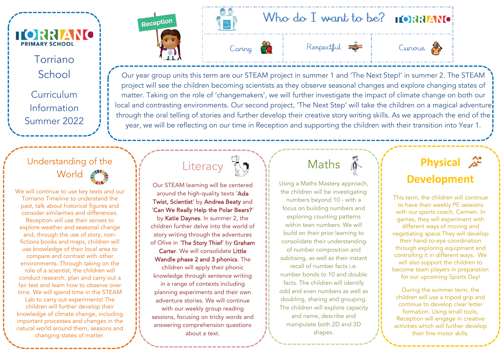

#### Torriano **School**

Curriculum Information Summer 2022

### Understanding of the World  $\blacktriangle$

We will continue to use key texts and our Torriano Timeline to understand the past, talk about historical figures and consider similarities and differences. Reception will use their senses to explore weather and seasonal change and, through the use of story, nonfictions books and maps, children will use knowledge of their local area to compare and contrast with other environments. Through taking on the role of a scientist, the children will conduct research, plan and carry out a fair test and learn how to observe over time. We will spend time in the STEAM Lab to carry out experiments! The children will further develop their knowledge of climate change, including important processes and changes in the natural world around them, seasons and changing states of matter.













Our year group units this term are our STEAM project in summer 1 and 'The Next Step!' in summer 2. The STEAM project will see the children becoming scientists as they observe seasonal changes and explore changing states of matter. Taking on the role of 'changemakers', we will further investigate the impact of climate change on both our local and contrasting environments. Our second project, 'The Next Step' will take the children on a magical adventure through the oral telling of stories and further develop their creative story writing skills. As we approach the end of the year, we will be reflecting on our time in Reception and supporting the children with their transition into Year 1.

# Literacy 13

Our STEAM learning will be centered around the high-quality texts 'Ada Twist, Scientist' by Andrea Beaty and 'Can We Really Help the Polar Bears?' by Katie Daynes. In summer 2, the children further delve into the world of story writing through the adventures of Olive in 'The Story Thief' by Graham Carter. We will consolidate Little Wandle phase 2 and 3 phonics. The children will apply their phonic knowledge through sentence writing in a range of contexts including planning experiments and their own adventure stories. We will continue with our weekly group reading sessions, focusing on tricky words and answering comprehension questions about a text.

# Maths  $\hat{\mathbb{A}}$

Using a Maths Mastery approach, the children will be investigating numbers beyond 10 - with a focus on building numbers and exploring counting patterns within teen numbers. We will build on their prior learning to consolidate their understanding of number composition and subitising, as well as their instant recall of number facts i.e. number bonds to 10 and double facts. The children will identify odd and even numbers as well as doubling, sharing and grouping. The children will explore capacity and name, describe and manipulate both 2D and 3D shapes.

# **Physical Development**

This term, the children will continue to have their weekly PE sessions with our sports coach, Carmen. In games, they will experiment with different ways of moving and negotiating space.They will develop their hand-to-eye coordination through exploring equipment and controlling it in different ways. We will also support the children to become team players in preparation for our upcoming Sports Day!

During the summer term, the children will use a tripod grip and continue to develop clear letter formation. Using small tools, Reception will engage in creative activities which will further develop their fine motor skills.